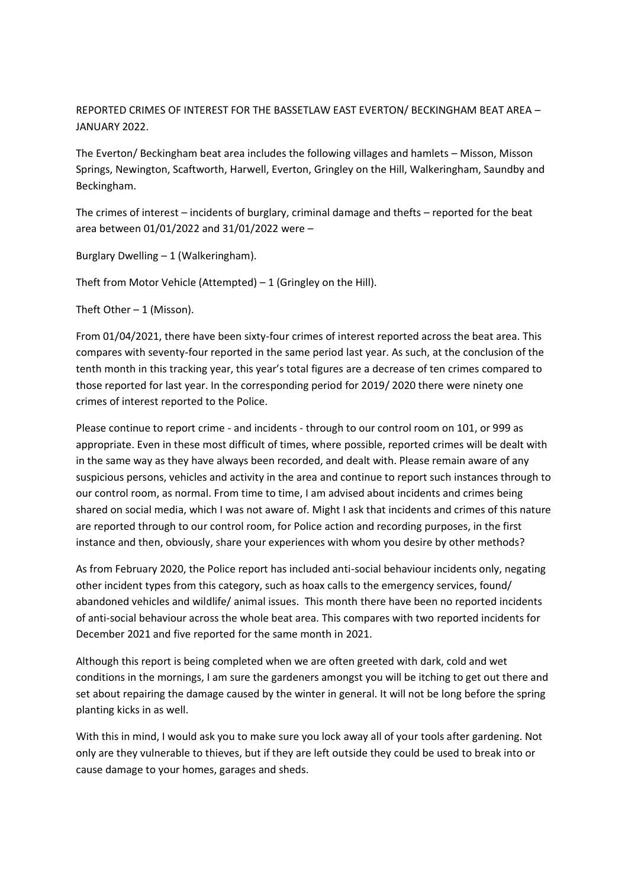REPORTED CRIMES OF INTEREST FOR THE BASSETLAW EAST EVERTON/ BECKINGHAM BEAT AREA – JANUARY 2022.

The Everton/ Beckingham beat area includes the following villages and hamlets – Misson, Misson Springs, Newington, Scaftworth, Harwell, Everton, Gringley on the Hill, Walkeringham, Saundby and Beckingham.

The crimes of interest – incidents of burglary, criminal damage and thefts – reported for the beat area between 01/01/2022 and 31/01/2022 were –

Burglary Dwelling – 1 (Walkeringham).

Theft from Motor Vehicle (Attempted) – 1 (Gringley on the Hill).

Theft Other  $-1$  (Misson).

From 01/04/2021, there have been sixty-four crimes of interest reported across the beat area. This compares with seventy-four reported in the same period last year. As such, at the conclusion of the tenth month in this tracking year, this year's total figures are a decrease of ten crimes compared to those reported for last year. In the corresponding period for 2019/ 2020 there were ninety one crimes of interest reported to the Police.

Please continue to report crime - and incidents - through to our control room on 101, or 999 as appropriate. Even in these most difficult of times, where possible, reported crimes will be dealt with in the same way as they have always been recorded, and dealt with. Please remain aware of any suspicious persons, vehicles and activity in the area and continue to report such instances through to our control room, as normal. From time to time, I am advised about incidents and crimes being shared on social media, which I was not aware of. Might I ask that incidents and crimes of this nature are reported through to our control room, for Police action and recording purposes, in the first instance and then, obviously, share your experiences with whom you desire by other methods?

As from February 2020, the Police report has included anti-social behaviour incidents only, negating other incident types from this category, such as hoax calls to the emergency services, found/ abandoned vehicles and wildlife/ animal issues. This month there have been no reported incidents of anti-social behaviour across the whole beat area. This compares with two reported incidents for December 2021 and five reported for the same month in 2021.

Although this report is being completed when we are often greeted with dark, cold and wet conditions in the mornings, I am sure the gardeners amongst you will be itching to get out there and set about repairing the damage caused by the winter in general. It will not be long before the spring planting kicks in as well.

With this in mind, I would ask you to make sure you lock away all of your tools after gardening. Not only are they vulnerable to thieves, but if they are left outside they could be used to break into or cause damage to your homes, garages and sheds.